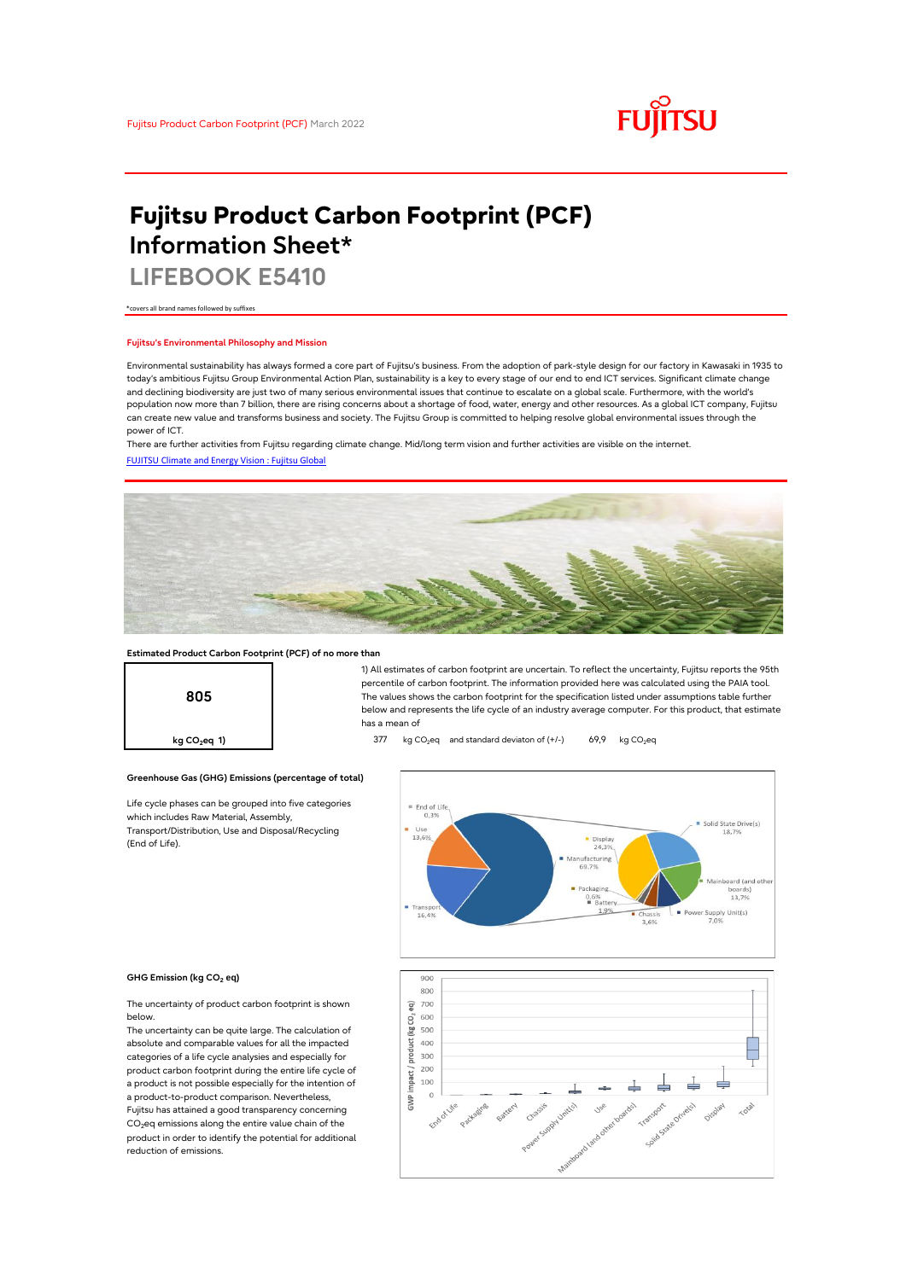

# **Fujitsu Product Carbon Footprint (PCF) Information Sheet\***

**LIFEBOOK E5410**

\*covers all brand names followed by suffixes

## **Fujitsu's Environmental Philosophy and Mission**

Environmental sustainability has always formed a core part of Fujitsu's business. From the adoption of park-style design for our factory in Kawasaki in 1935 to today's ambitious Fujitsu Group Environmental Action Plan, sustainability is a key to every stage of our end to end ICT services. Significant climate change and declining biodiversity are just two of many serious environmental issues that continue to escalate on a global scale. Furthermore, with the world's population now more than 7 billion, there are rising concerns about a shortage of food, water, energy and other resources. As a global ICT company, Fujitsu can create new value and transforms business and society. The Fujitsu Group is committed to helping resolve global environmental issues through the power of ICT.

[FUJITSU Climate and Energy Vision : Fujitsu Global](https://www.fujitsu.com/global/about/environment/climate-energy-vision/) There are further activities from Fujitsu regarding climate change. Mid/long term vision and further activities are visible on the internet.



## **Estimated Product Carbon Footprint (PCF) of no more than**

**Greenhouse Gas (GHG) Emissions (percentage of total)**

Life cycle phases can be grouped into five categories

which includes Raw Material, Assembly, Transport/Distribution, Use and Disposal/Recycling



1) All estimates of carbon footprint are uncertain. To reflect the uncertainty, Fujitsu reports the 95th percentile of carbon footprint. The information provided here was calculated using the PAIA tool. The values shows the carbon footprint for the specification listed under assumptions table further below and represents the life cycle of an industry average computer. For this product, that estimate has a mean of

**kg CO<sub>2</sub>eq 1) a** 377 kg CO<sub>2</sub>eq and standard deviaton of (+/-) 69,9 kg CO<sub>2</sub>eq



#### **GHG Emission (kg CO2 eq)**

(End of Life).

The uncertainty of product carbon footprint is shown below.

The uncertainty can be quite large. The calculation of absolute and comparable values for all the impacted categories of a life cycle analysies and especially for product carbon footprint during the entire life cycle of a product is not possible especially for the intention of a product-to-product comparison. Nevertheless, Fujitsu has attained a good transparency concerning CO<sub>2</sub>eq emissions along the entire value chain of the product in order to identify the potential for additional reduction of emissions.